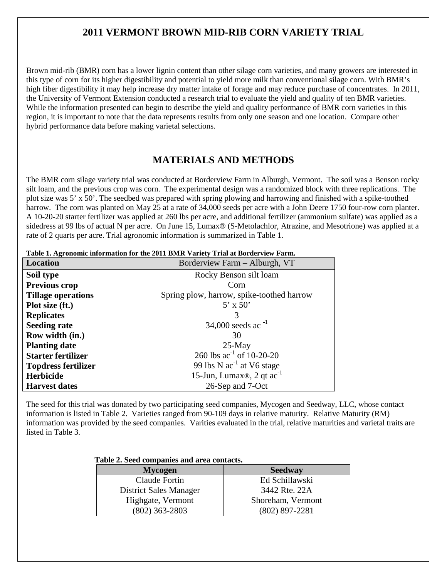# **2011 VERMONT BROWN MID-RIB CORN VARIETY TRIAL**

Brown mid-rib (BMR) corn has a lower lignin content than other silage corn varieties, and many growers are interested in this type of corn for its higher digestibility and potential to yield more milk than conventional silage corn. With BMR's high fiber digestibility it may help increase dry matter intake of forage and may reduce purchase of concentrates. In 2011, the University of Vermont Extension conducted a research trial to evaluate the yield and quality of ten BMR varieties. While the information presented can begin to describe the yield and quality performance of BMR corn varieties in this region, it is important to note that the data represents results from only one season and one location. Compare other hybrid performance data before making varietal selections.

# **MATERIALS AND METHODS**

The BMR corn silage variety trial was conducted at Borderview Farm in Alburgh, Vermont. The soil was a Benson rocky silt loam, and the previous crop was corn. The experimental design was a randomized block with three replications. The plot size was 5' x 50'. The seedbed was prepared with spring plowing and harrowing and finished with a spike-toothed harrow. The corn was planted on May 25 at a rate of 34,000 seeds per acre with a John Deere 1750 four-row corn planter. A 10-20-20 starter fertilizer was applied at 260 lbs per acre, and additional fertilizer (ammonium sulfate) was applied as a sidedress at 99 lbs of actual N per acre. On June 15, Lumax<sup>®</sup> (S-Metolachlor, Atrazine, and Mesotrione) was applied at a rate of 2 quarts per acre. Trial agronomic information is summarized in Table 1.

| Location                   | Borderview Farm - Alburgh, VT               |  |  |  |  |  |  |
|----------------------------|---------------------------------------------|--|--|--|--|--|--|
| Soil type                  | Rocky Benson silt loam                      |  |  |  |  |  |  |
| Previous crop              | Corn                                        |  |  |  |  |  |  |
| <b>Tillage operations</b>  | Spring plow, harrow, spike-toothed harrow   |  |  |  |  |  |  |
| Plot size (ft.)            | $5'$ x $50'$                                |  |  |  |  |  |  |
| <b>Replicates</b>          | 3                                           |  |  |  |  |  |  |
| <b>Seeding rate</b>        | 34,000 seeds ac <sup>-1</sup>               |  |  |  |  |  |  |
| Row width (in.)            | 30                                          |  |  |  |  |  |  |
| <b>Planting date</b>       | $25$ -May                                   |  |  |  |  |  |  |
| <b>Starter fertilizer</b>  | 260 lbs $ac^{-1}$ of 10-20-20               |  |  |  |  |  |  |
| <b>Topdress fertilizer</b> | 99 lbs N $ac^{-1}$ at V6 stage              |  |  |  |  |  |  |
| <b>Herbicide</b>           | 15-Jun, Lumax <sup>®</sup> , 2 qt $ac^{-1}$ |  |  |  |  |  |  |
| <b>Harvest dates</b>       | 26-Sep and 7-Oct                            |  |  |  |  |  |  |

**Table 1. Agronomic information for the 2011 BMR Variety Trial at Borderview Farm.**

The seed for this trial was donated by two participating seed companies, Mycogen and Seedway, LLC, whose contact information is listed in Table 2. Varieties ranged from 90-109 days in relative maturity. Relative Maturity (RM) information was provided by the seed companies. Varities evaluated in the trial, relative maturities and varietal traits are listed in Table 3.

#### **Table 2. Seed companies and area contacts.**

| <b>Mycogen</b>         | <b>Seedway</b>     |  |  |  |
|------------------------|--------------------|--|--|--|
| Claude Fortin          | Ed Schillawski     |  |  |  |
| District Sales Manager | 3442 Rte. 22A      |  |  |  |
| Highgate, Vermont      | Shoreham, Vermont  |  |  |  |
| $(802)$ 363-2803       | $(802) 897 - 2281$ |  |  |  |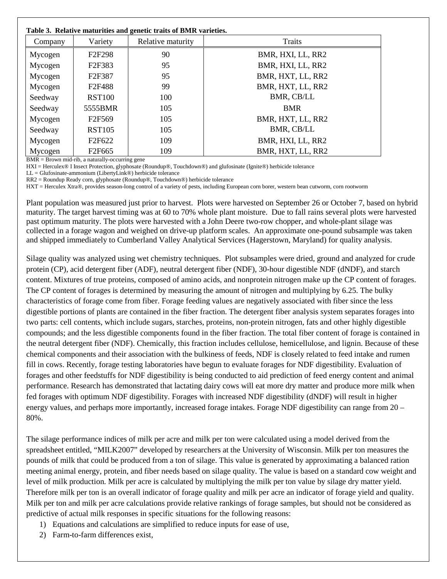#### **Table 3. Relative maturities and genetic traits of BMR varieties.**

| Table 5. Relative maturities and genetic traits of BMR varieties. |                                 |                   |                   |  |  |  |  |  |
|-------------------------------------------------------------------|---------------------------------|-------------------|-------------------|--|--|--|--|--|
| Company                                                           | Variety                         | Relative maturity | Traits            |  |  |  |  |  |
| Mycogen                                                           | F <sub>2</sub> F <sub>298</sub> | 90                | BMR, HXI, LL, RR2 |  |  |  |  |  |
| Mycogen                                                           | F <sub>2</sub> F <sub>383</sub> | 95                | BMR, HXI, LL, RR2 |  |  |  |  |  |
| Mycogen                                                           | F2F387                          | 95                | BMR, HXT, LL, RR2 |  |  |  |  |  |
| Mycogen                                                           | F2F488                          | 99                | BMR, HXT, LL, RR2 |  |  |  |  |  |
| Seedway                                                           | <b>RST100</b>                   | 100               | BMR, CB/LL        |  |  |  |  |  |
| Seedway                                                           | 5555BMR                         | 105               | <b>BMR</b>        |  |  |  |  |  |
| Mycogen                                                           | F <sub>2F569</sub>              | 105               | BMR, HXT, LL, RR2 |  |  |  |  |  |
| Seedway                                                           | <b>RST105</b>                   | 105               | BMR, CB/LL        |  |  |  |  |  |
| Mycogen                                                           | F2F622                          | 109               | BMR, HXI, LL, RR2 |  |  |  |  |  |
| Mycogen                                                           | F <sub>2F665</sub>              | 109               | BMR, HXT, LL, RR2 |  |  |  |  |  |

BMR = Brown mid-rib, a naturally-occurring gene

HXI = Herculex® I Insect Protection, glyphosate (Roundup®, Touchdown®) and glufosinate (Ignite®) herbicide tolerance

LL = Glufosinate-ammonium (LibertyLink®) herbicide tolerance

RR2 = Roundup Ready corn, glyphosate (Roundup®, Touchdown®) herbicide tolerance

HXT = Herculex Xtra®, provides season-long control of a variety of pests, including European corn borer, western bean cutworm, corn rootworm

Plant population was measured just prior to harvest. Plots were harvested on September 26 or October 7, based on hybrid maturity. The target harvest timing was at 60 to 70% whole plant moisture. Due to fall rains several plots were harvested past optimum maturity. The plots were harvested with a John Deere two-row chopper, and whole-plant silage was collected in a forage wagon and weighed on drive-up platform scales. An approximate one-pound subsample was taken and shipped immediately to Cumberland Valley Analytical Services (Hagerstown, Maryland) for quality analysis.

Silage quality was analyzed using wet chemistry techniques. Plot subsamples were dried, ground and analyzed for crude protein (CP), acid detergent fiber (ADF), neutral detergent fiber (NDF), 30-hour digestible NDF (dNDF), and starch content. Mixtures of true proteins, composed of amino acids, and nonprotein nitrogen make up the CP content of forages. The CP content of forages is determined by measuring the amount of nitrogen and multiplying by 6.25. The bulky characteristics of forage come from fiber. Forage feeding values are negatively associated with fiber since the less digestible portions of plants are contained in the fiber fraction. The detergent fiber analysis system separates forages into two parts: cell contents, which include sugars, starches, proteins, non-protein nitrogen, fats and other highly digestible compounds; and the less digestible components found in the fiber fraction. The total fiber content of forage is contained in the neutral detergent fiber (NDF). Chemically, this fraction includes cellulose, hemicellulose, and lignin. Because of these chemical components and their association with the bulkiness of feeds, NDF is closely related to feed intake and rumen fill in cows. Recently, forage testing laboratories have begun to evaluate forages for NDF digestibility. Evaluation of forages and other feedstuffs for NDF digestibility is being conducted to aid prediction of feed energy content and animal performance. Research has demonstrated that lactating dairy cows will eat more dry matter and produce more milk when fed forages with optimum NDF digestibility. Forages with increased NDF digestibility (dNDF) will result in higher energy values, and perhaps more importantly, increased forage intakes. Forage NDF digestibility can range from 20 – 80%.

The silage performance indices of milk per acre and milk per ton were calculated using a model derived from the spreadsheet entitled, "MILK2007" developed by researchers at the University of Wisconsin. Milk per ton measures the pounds of milk that could be produced from a ton of silage. This value is generated by approximating a balanced ration meeting animal energy, protein, and fiber needs based on silage quality. The value is based on a standard cow weight and level of milk production. Milk per acre is calculated by multiplying the milk per ton value by silage dry matter yield. Therefore milk per ton is an overall indicator of forage quality and milk per acre an indicator of forage yield and quality. Milk per ton and milk per acre calculations provide relative rankings of forage samples, but should not be considered as predictive of actual milk responses in specific situations for the following reasons:

- 1) Equations and calculations are simplified to reduce inputs for ease of use,
- 2) Farm-to-farm differences exist,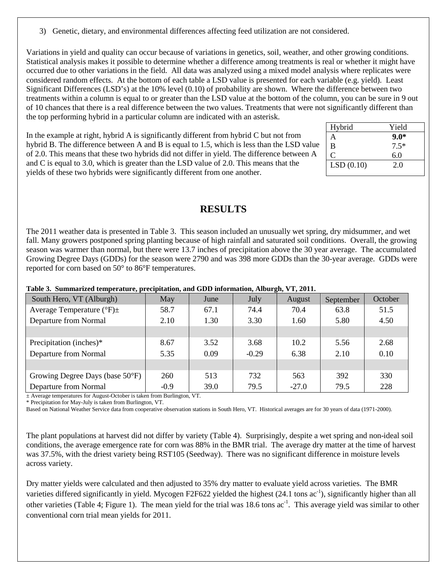3) Genetic, dietary, and environmental differences affecting feed utilization are not considered.

Variations in yield and quality can occur because of variations in genetics, soil, weather, and other growing conditions. Statistical analysis makes it possible to determine whether a difference among treatments is real or whether it might have occurred due to other variations in the field. All data was analyzed using a mixed model analysis where replicates were considered random effects. At the bottom of each table a LSD value is presented for each variable (e.g. yield). Least Significant Differences (LSD's) at the 10% level (0.10) of probability are shown. Where the difference between two treatments within a column is equal to or greater than the LSD value at the bottom of the column, you can be sure in 9 out of 10 chances that there is a real difference between the two values. Treatments that were not significantly different than the top performing hybrid in a particular column are indicated with an asterisk.

In the example at right, hybrid A is significantly different from hybrid C but not from hybrid B. The difference between A and B is equal to 1.5, which is less than the LSD value of 2.0. This means that these two hybrids did not differ in yield. The difference between A and C is equal to 3.0, which is greater than the LSD value of 2.0. This means that the yields of these two hybrids were significantly different from one another.

| Hybrid    | Yield  |
|-----------|--------|
| А         | $9.0*$ |
| B         | $7.5*$ |
| C         | 6.0    |
| LSD(0.10) | 2.0    |
|           |        |

### **RESULTS**

The 2011 weather data is presented in Table 3. This season included an unusually wet spring, dry midsummer, and wet fall. Many growers postponed spring planting because of high rainfall and saturated soil conditions. Overall, the growing season was warmer than normal, but there were 13.7 inches of precipitation above the 30 year average. The accumulated Growing Degree Days (GDDs) for the season were 2790 and was 398 more GDDs than the 30-year average. GDDs were reported for corn based on 50° to 86°F temperatures.

| South Hero, VT (Alburgh)                    | May    | June | July         | August  | September | October |  |
|---------------------------------------------|--------|------|--------------|---------|-----------|---------|--|
| Average Temperature ( ${}^{\circ}$ F) $\pm$ | 58.7   | 67.1 | 74.4         | 70.4    | 63.8      | 51.5    |  |
| Departure from Normal                       | 2.10   | 1.30 | 3.30         | 1.60    | 5.80      | 4.50    |  |
|                                             |        |      |              |         |           |         |  |
| Precipitation (inches)*                     | 8.67   | 3.52 | 3.68<br>10.2 |         | 5.56      | 2.68    |  |
| Departure from Normal                       | 5.35   | 0.09 | $-0.29$      | 6.38    | 2.10      | 0.10    |  |
|                                             |        |      |              |         |           |         |  |
| Growing Degree Days (base 50°F)             | 260    | 513  | 732          | 563     | 392       | 330     |  |
| Departure from Normal                       | $-0.9$ | 39.0 | 79.5         | $-27.0$ | 79.5      | 228     |  |

#### **Table 3. Summarized temperature, precipitation, and GDD information, Alburgh, VT, 2011.**

± Average temperatures for August-October is taken from Burlington, VT.

\* Precipitation for May-July is taken from Burlington, VT.

Based on National Weather Service data from cooperative observation stations in South Hero, VT. Historical averages are for 30 years of data (1971-2000).

The plant populations at harvest did not differ by variety (Table 4). Surprisingly, despite a wet spring and non-ideal soil conditions, the average emergence rate for corn was 88% in the BMR trial. The average dry matter at the time of harvest was 37.5%, with the driest variety being RST105 (Seedway). There was no significant difference in moisture levels across variety.

Dry matter yields were calculated and then adjusted to 35% dry matter to evaluate yield across varieties. The BMR varieties differed significantly in yield. Mycogen F2F622 yielded the highest (24.1 tons ac<sup>-1</sup>), significantly higher than all other varieties (Table 4; Figure 1). The mean yield for the trial was 18.6 tons  $ac^{-1}$ . This average yield was similar to other conventional corn trial mean yields for 2011.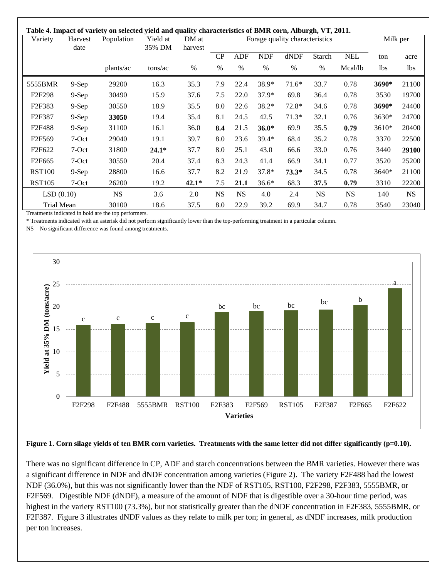| Variety                         | Harvest<br>date | Population | Yield at<br>35% DM | DM at<br>harvest |           |            |            | Forage quality characteristics |           |            |            | Milk per  |  |
|---------------------------------|-----------------|------------|--------------------|------------------|-----------|------------|------------|--------------------------------|-----------|------------|------------|-----------|--|
|                                 |                 |            |                    |                  | CP        | <b>ADF</b> | <b>NDF</b> | dNDF                           | Starch    | <b>NEL</b> | ton        | acre      |  |
|                                 |                 | plants/ac  | tons/ac            | %                | $\%$      | $\%$       | $\%$       | $\%$                           | $\%$      | Mcal/lb    | <b>lbs</b> | lbs       |  |
| 5555BMR                         | $9-Sep$         | 29200      | 16.3               | 35.3             | 7.9       | 22.4       | 38.9*      | $71.6*$                        | 33.7      | 0.78       | 3690*      | 21100     |  |
| F <sub>2</sub> F <sub>298</sub> | $9-Sep$         | 30490      | 15.9               | 37.6             | 7.5       | 22.0       | $37.9*$    | 69.8                           | 36.4      | 0.78       | 3530       | 19700     |  |
| F2F383                          | $9-Sep$         | 30550      | 18.9               | 35.5             | 8.0       | 22.6       | 38.2*      | 72.8*                          | 34.6      | 0.78       | 3690*      | 24400     |  |
| F <sub>2F</sub> 387             | $9-Sep$         | 33050      | 19.4               | 35.4             | 8.1       | 24.5       | 42.5       | $71.3*$                        | 32.1      | 0.76       | 3630*      | 24700     |  |
| F <sub>2F488</sub>              | $9-Sep$         | 31100      | 16.1               | 36.0             | 8.4       | 21.5       | $36.0*$    | 69.9                           | 35.5      | 0.79       | 3610*      | 20400     |  |
| F <sub>2F569</sub>              | 7-Oct           | 29040      | 19.1               | 39.7             | 8.0       | 23.6       | $39.4*$    | 68.4                           | 35.2      | 0.78       | 3370       | 22500     |  |
| F <sub>2F622</sub>              | 7-Oct           | 31800      | $24.1*$            | 37.7             | 8.0       | 25.1       | 43.0       | 66.6                           | 33.0      | 0.76       | 3440       | 29100     |  |
| F <sub>2F665</sub>              | 7-Oct           | 30550      | 20.4               | 37.4             | 8.3       | 24.3       | 41.4       | 66.9                           | 34.1      | 0.77       | 3520       | 25200     |  |
| <b>RST100</b>                   | $9-Sep$         | 28800      | 16.6               | 37.7             | 8.2       | 21.9       | $37.8*$    | $73.3*$                        | 34.5      | 0.78       | 3640*      | 21100     |  |
| <b>RST105</b>                   | 7-Oct           | 26200      | 19.2               | $42.1*$          | 7.5       | 21.1       | $36.6*$    | 68.3                           | 37.5      | 0.79       | 3310       | 22200     |  |
| LSD(0.10)                       |                 | <b>NS</b>  | 3.6                | 2.0              | <b>NS</b> | <b>NS</b>  | 4.0        | 2.4                            | <b>NS</b> | <b>NS</b>  | 140        | <b>NS</b> |  |
| Trial Mean                      |                 | 30100      | 18.6               | 37.5             | 8.0       | 22.9       | 39.2       | 69.9                           | 34.7      | 0.78       | 3540       | 23040     |  |

Treatments indicated in bold are the top performers.

\* Treatments indicated with an asterisk did not perform significantly lower than the top-performing treatment in a particular column.

NS – No significant difference was found among treatments.



Figure 1. Corn silage yields of ten BMR corn varieties. Treatments with the same letter did not differ significantly (p=0.10).

There was no significant difference in CP, ADF and starch concentrations between the BMR varieties. However there was a significant difference in NDF and dNDF concentration among varieties (Figure 2). The variety F2F488 had the lowest NDF (36.0%), but this was not significantly lower than the NDF of RST105, RST100, F2F298, F2F383, 5555BMR, or F2F569. Digestible NDF (dNDF), a measure of the amount of NDF that is digestible over a 30-hour time period, was highest in the variety RST100 (73.3%), but not statistically greater than the dNDF concentration in F2F383, 5555BMR, or F2F387. Figure 3 illustrates dNDF values as they relate to milk per ton; in general, as dNDF increases, milk production per ton increases.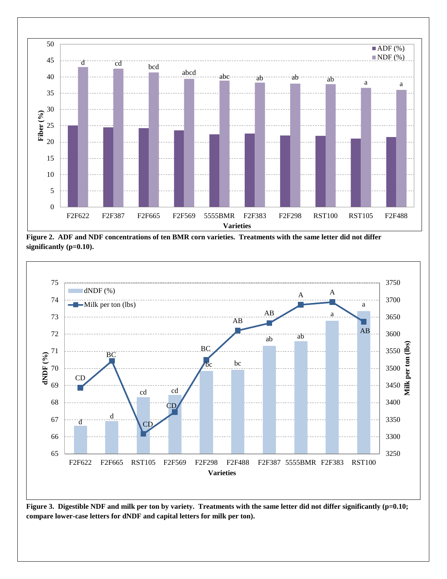

**Figure 2. ADF and NDF concentrations of ten BMR corn varieties. Treatments with the same letter did not differ significantly (p=0.10).**



**Figure 3. Digestible NDF and milk per ton by variety. Treatments with the same letter did not differ significantly (p=0.10; compare lower-case letters for dNDF and capital letters for milk per ton).**